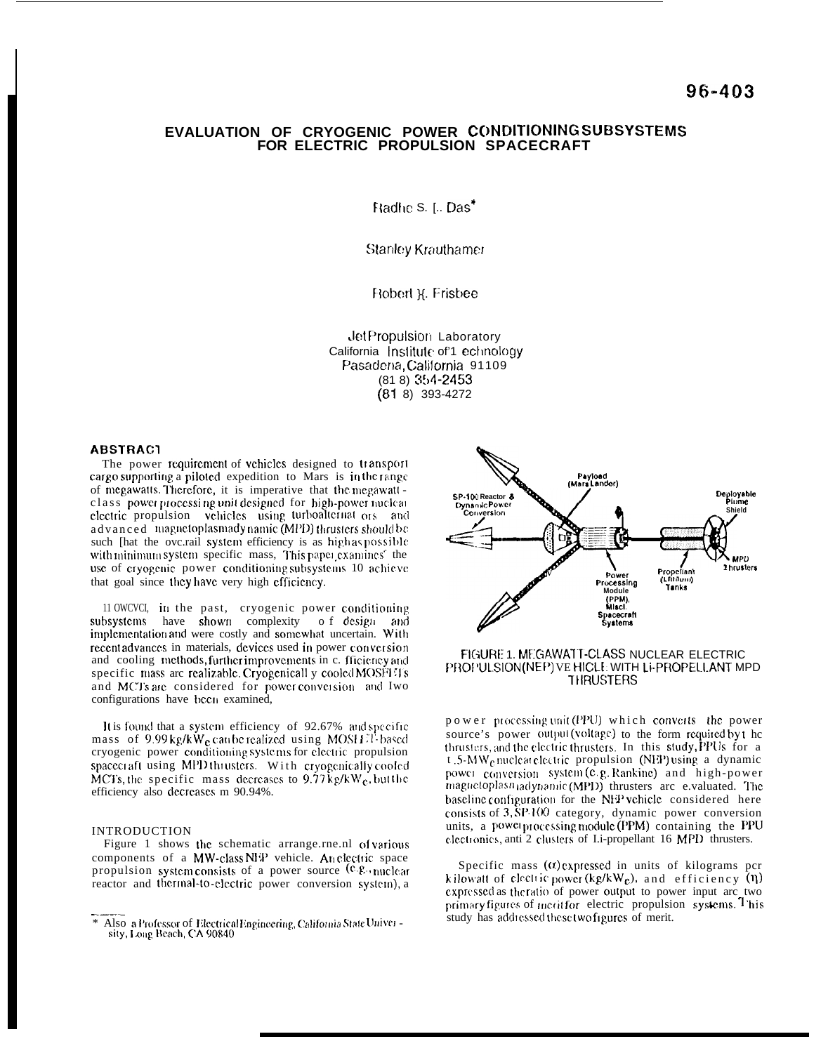## EVALUATION OF CRYOGENIC POWER CONDITIONING SUBSYSTEMS FOR ELECTRIC PROPULSION SPACECRAFT

Radhe S. [.. Das\*

**Stanley Krauthamer** 

Robert X. Frisbee

**JetPropulsion Laboratory** California Institute of 1 echnology Pasadena. California 91109  $(818)$  354-2453  $(81 8) 393 - 4272$ 

#### **ABSTRAC1**

The power requirement of vehicles designed to transport cargo supporting a piloted expedition to Mars is in the range of megawatts. Therefore, it is imperative that the megawatt class power processing unit designed for high-power nuclear electric propulsion vehicles using turboalternat ors and advanced magnetoplasmadynamic (MPD) thrusters should be such [hat the ove.rail system efficiency is as high as possible with minimum system specific mass, This paper examines the use of cryogenic power conditioning subsystems 10 achieve that goal since they have very high efficiency.

11 OWCVCI, in the past, cryogenic power conditioning subsystems have shown complexity of design and implementation and were costly and somewhat uncertain. With recent advances in materials, devices used in power conversion and cooling methods, further improvements in c. fficiency and specific mass are realizable. Cryogenicall y cooled MOSFETs and MCTs are considered for power conversion and Iwo configurations have bccn examined,

It is found that a system efficiency of 92.67% and specific mass of 9.99 kg/kW<sub>e</sub> can be realized using MOSHET-based cryogenic power conditioning systems for electric propulsion spacecraft using MPD thrusters. With cryogenically cooled MCTs, the specific mass decreases to  $9.77 \text{ kg/kW}_c$ , but the efficiency also decreases m 90.94%.

#### **INTRODUCTION**

Figure 1 shows the schematic arrange.rne.nl of various components of a MW-class NFP vehicle. An electric space propulsion system consists of a power source  $(e.g.,$  nuclear reactor and thermal-to-electric power conversion system), a



## FIGURE 1. MEGAWATT-CLASS NUCLEAR ELECTRIC PROPULSION(NEP) VE HICLE WITH LI-PROPELLANT MPD **THRUSTERS**

power processing unit (PPU) which converts the power source's power output (voltage) to the form required by the thrusters, and the electric thrusters. In this study, PPUs for a  $t$ .5-MW<sub>e</sub> nuclear electric propulsion (NEP) using a dynamic power conversion system (e.g. Rankine) and high-power magnetoplasn adynamic (MPD) thrusters are e.valuated. The baseline configuration for the NFP vehicle considered here consists of 3, SP-100 category, dynamic power conversion units, a power processing module (PPM) containing the PPU electronics, anti 2 clusters of Li-propellant 16 MPD thrusters.

Specific mass  $(\alpha)$  expressed in units of kilograms per kilowatt of electric power (kg/k $W_e$ ), and efficiency (n) expressed as the ratio of power output to power input arc two primary figures of ment for electric propulsion systems. This study has addressed these two figures of merit.

Also a Professor of Electrical Engineering, California State University, Long Beach, CA 90840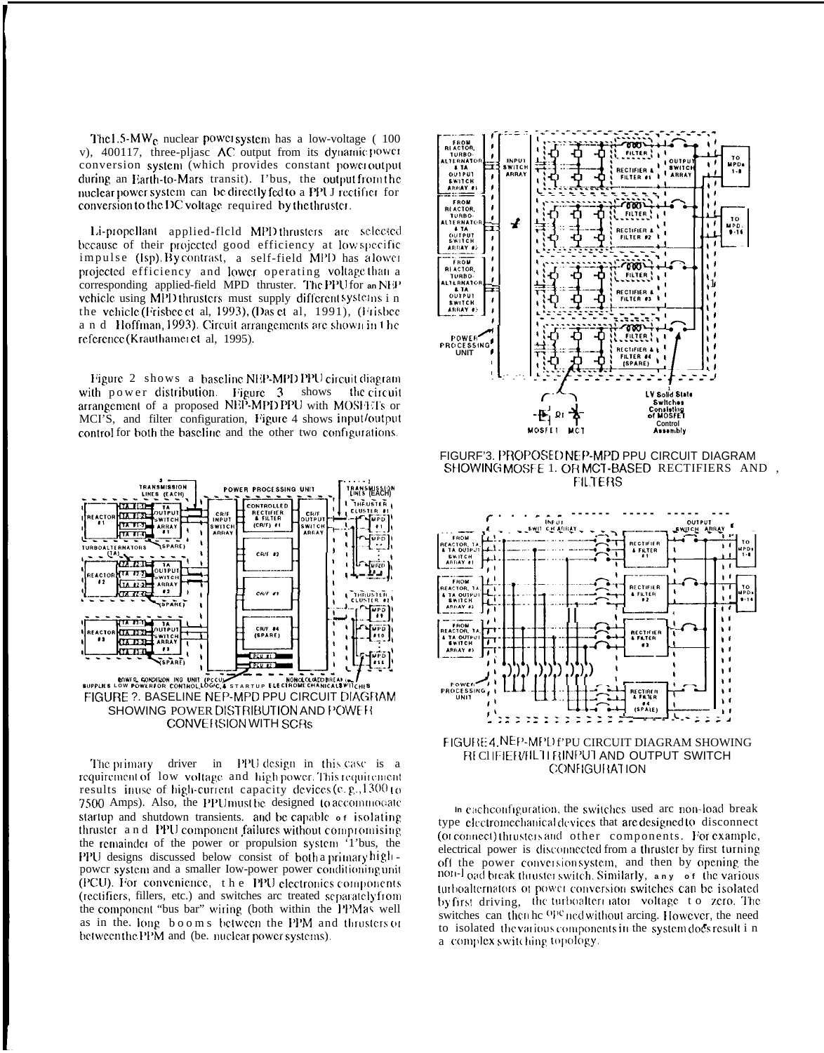The  $1.5\text{-}MW_{\text{e}}$  nuclear power system has a low-voltage (100 v), 400117, three-pljasc AC output from its dynamic power conversion system (which provides constant poweroutput during an Earth-to-Mars transit). I'bus, the output from the nuclear power system can be directly fed to a PPU I rectifier for conversion to the DC voltage required by the thruster.

Li-propellant applied-flold MPD thrusters are selected because of their projected good efficiency at low specific impulse (Isp) Bycontrast, a self-field MPD has alower projected efficiency and lower operating voltage than a corresponding applied-field MPD thruster. The PPU for an NFP vehicle using MPD thrusters must supply different systems in the vehicle (Frisbee et al, 1993), (Das et al, 1991), (Frisbee a n d Hoffman, 1993). Circuit arrangements are shown in the reference (Krauthamer et al, 1995).

Figure 2 shows a baseline NEP-MPD PPU circuit diagram with power distribution. Figure 3 shows the circuit arrangement of a proposed NEP-MPD PPU with MOSHETs or MCI'S, and filter configuration, Figure 4 shows input/output control for both the baseline and the other two configurations.



The primary driver in PPU design in this case is a requirement of low voltage and high power. This requirement results inuse of high-current capacity devices (e.g., 1300 to 7500 Amps). Also, the PPU must be designed to accommodate startup and shutdown transients. and be capable of isolating thruster and PPU component failures without compromising the remainder of the power or propulsion system '1'bus, the PPU designs discussed below consist of both a primary highpower system and a smaller Iow-power power conditioning unit (PCU). For convenience, the PPU electronics components (rectifiers, fillers, etc.) and switches arc treated separately from the component "bus bar" wiring (both within the PPM as well as in the long booms between the PPM and thrusters or between the PPM and (be. nuclear power systems).



FIGURF'3. PROPOSEDNEP-MPD PPU CIRCUIT DIAGRAM SHOWING MOSFE 1. ORMCT-BASED RECTIFIERS AND, **FILTERS** 



FIGURE 4. NEP-MPD FPU CIRCUIT DIAGRAM SHOWING RECUFIER/FILTI RINPUT AND OUTPUT SWITCH **CONFIGURATION** 

In each configuration, the switches used are non-load break type electromechanical devices that are designed to disconnect (or connect) thrusters and other components. For example, electrical power is disconnected from a thruster by first turning off the power conversionsystem, and then by opening the non-load break thruster switch. Similarly, any of the various turboalternators or power conversion switches can be isolated by first driving, the turboaltermator voltage to zero. The switches can then hc OPC ned without arcing. However, the need to isolated the various components in the system does result i n a complex switching topology.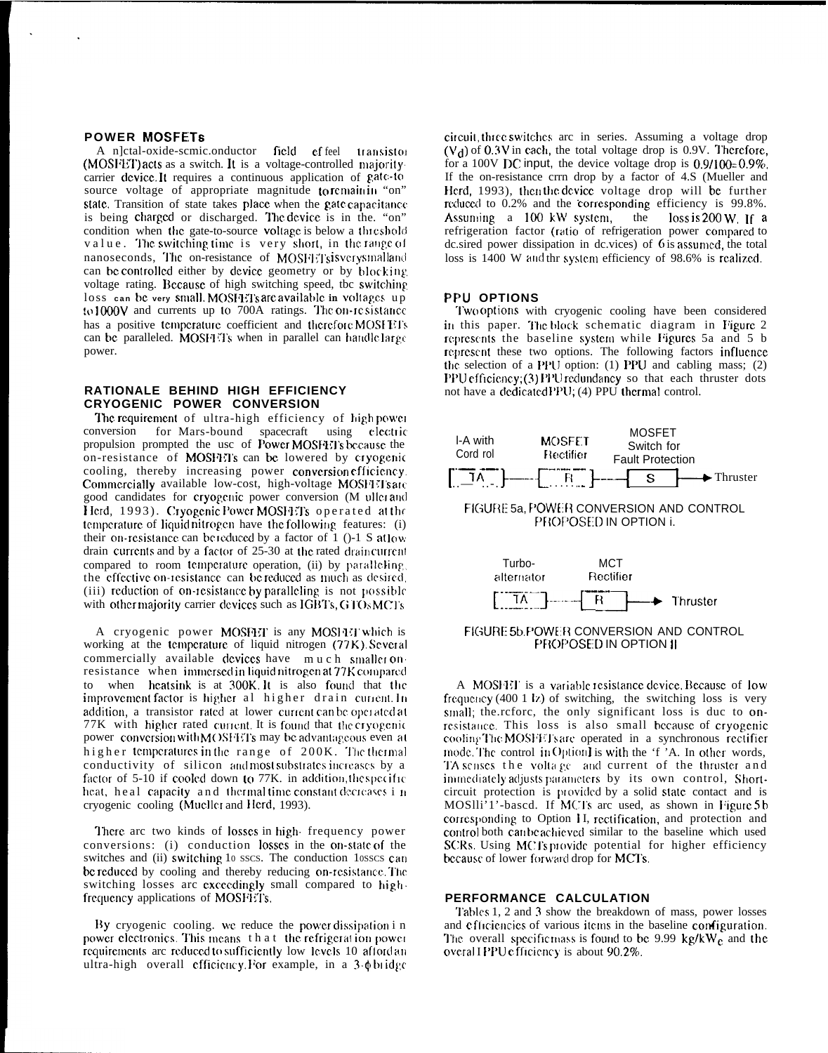## **POWER MOSFETS**

A n]ctal-oxide-scmic.onductor field effeel transistor (MOSFET) acts as a switch. It is a voltage-controlled majoritycarrier device. It requires a continuous application of gate-to source voltage of appropriate magnitude to remain in "on" state. Transition of state takes place when the gate capacitance is being charged or discharged. The device is in the "on" condition when the gate-to-source voltage is below a threshold value. The switching time is very short, in the range of nanoseconds, The on-resistance of MOSFETsisverysmalland can be controlled either by device geometry or by blocking voltage rating. Because of high switching speed, the switching loss can be very small. MOSFET's are available in voltages up to  $1000V$  and currents up to  $700A$  ratings. The on-resistance has a positive temperature coefficient and therefore MOSFETs can be paralleled. MOSFFTs when in parallel can handle large power.

## RATIONALE BEHIND HIGH EFFICIENCY CRYOGENIC POWER CONVERSION

The requirement of ultra-high efficiency of high power conversion for Mars-bound spacecraft using electric propulsion prompted the usc of Power MOSFET's because the on-resistance of MOSFET's can be lowered by cryogenic cooling, thereby increasing power conversion efficiency. Commercially available low-cost, high-voltage MOSH Is are good candidates for cryogenic power conversion (M uller and Herd, 1993). Cryogenic Power MOSHETs operated at the temperature of liquid nitrogen have the following features: (i) their on-resistance can be reduced by a factor of  $1$  ()-1 S at low drain currents and by a factor of 25-30 at the rated drain current compared to room temperature operation, (ii) by paralleling. the effective on-resistance can be reduced as much as desired. (iii) reduction of on-resistance by paralleling is not possible with other majority carrier devices such as IGBTs, GTOs MCTs

A cryogenic power MOSFET is any MOSHET which is working at the temperature of liquid nitrogen (77K) Several commercially available devices have much smalleronresistance when immersed in liquid nitrogen at 77K compared to when heatsink is at 300K. It is also found that the improvement factor is higher al higher drain curient. In addition, a transistor rated at lower current can be operated at 77K with higher rated current. It is found that the cryogenic power conversion with MOSFETs may be advantageous even at higher temperatures in the range of 200K. The thermal conductivity of silicon and most substrates increases by a factor of 5-10 if cooled down to 77K. in addition, the specific heat, heal capacity and thermal time constant decreases in cryogenic cooling (Mueller and Herd, 1993).

There are two kinds of losses in high frequency power conversions: (i) conduction losses in the on-state of the switches and (ii) switching 10 sscs. The conduction 10sscs can be reduced by cooling and thereby reducing on-resistance. The switching losses arc exceedingly small compared to highfrequency applications of MOSFET's.

By cryogenic cooling. we reduce the power dissipation in power electronics. This means that the refrigeration power requirements are reduced to sufficiently low levels 10 afford an ultra-high overall efficiency. For example, in a 3- $\phi$  bridge

circuit, three switches arc in series. Assuming a voltage drop  $(V<sub>d</sub>)$  of 0.3V in each, the total voltage drop is 0.9V. Therefore, for a 100V DC input, the device voltage drop is  $0.9/100=0.9\%$ . If the on-resistance crrn drop by a factor of 4.S (Mueller and Herd, 1993), then the device voltage drop will be further reduced to 0.2% and the corresponding efficiency is 99.8%. Assuming a 100 kW system, the loss is  $200 W$ . If a refrigeration factor (ratio of refrigeration power compared to dc.sired power dissipation in dc.vices) of  $6$  is assumed, the total loss is 1400 W and thr system efficiency of 98.6% is realized.

#### **PPU OPTIONS**

Two options with cryogenic cooling have been considered in this paper. The block schematic diagram in Figure 2 represents the baseline system while Figures 5a and 5 b represent these two options. The following factors influence the selection of a PPU option: (1) PPU and cabling mass; (2) PPU efficiency; (3) PPU redundancy so that each thruster dots not have a dedicated PPU; (4) PPU thermal control.



FIGURE 5b. POWER CONVERSION AND CONTROL PROPOSED IN OPTION II

A MOSHIT is a variable resistance device. Because of low frequency (400 1 lz) of switching, the switching loss is very small; the refore, the only significant loss is due to onresistance. This loss is also small because of cryogenic cooling The MOSFETs are operated in a synchronous rectifier mode. The control in Option I is with the 'f 'A. In other words, TA senses the voltage and current of the thruster and immediately adjusts parameters by its own control, Shortcircuit protection is provided by a solid state contact and is MOSIli'1'-based. If MCI's are used, as shown in Figure 5b corresponding to Option II, rectification, and protection and control both can be achieved similar to the baseline which used SCRs. Using MCTs provide potential for higher efficiency because of lower forward drop for MCTs.

#### PERFORMANCE CALCULATION

Tables 1, 2 and 3 show the breakdown of mass, power losses and efficiencies of various items in the baseline configuration. The overall specificmass is found to be 9.99  $kg/kW_c$  and the overal I PPUe fficiency is about 90.2%.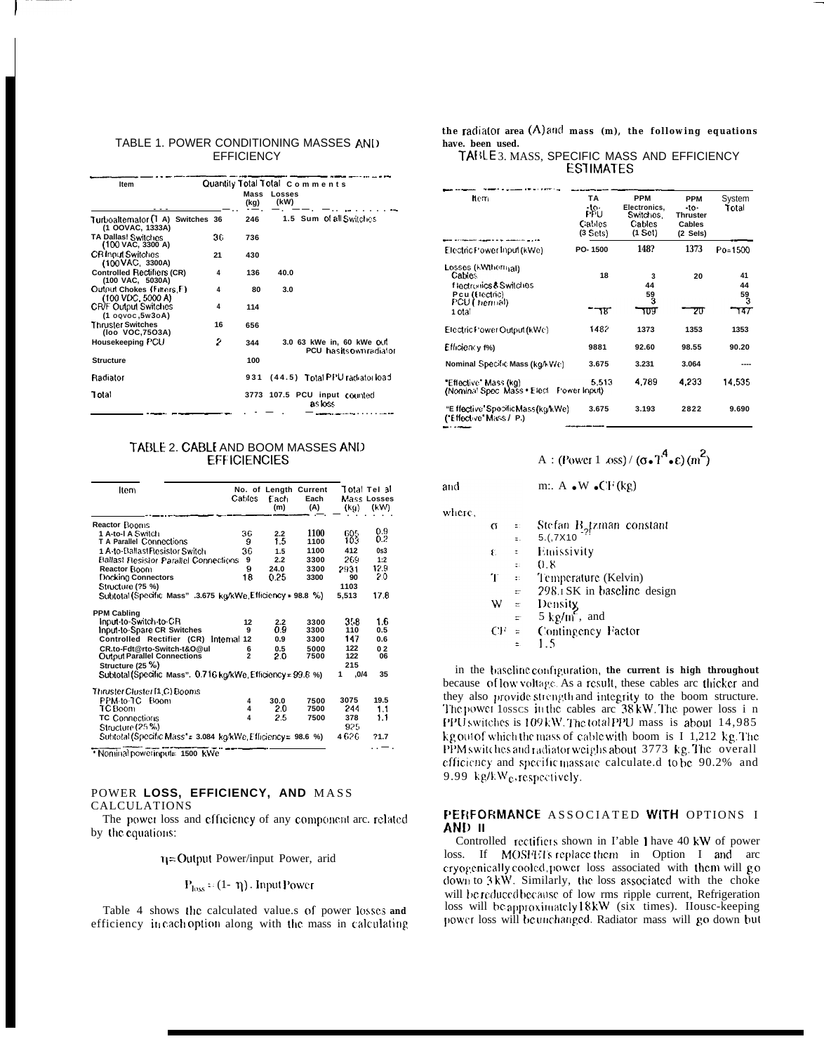## TABLE 1. POWER CONDITIONING MASSES AND **FFFICIENCY**

| Item                                                  |    |              | Quantily Total Total Comments |                                                    |
|-------------------------------------------------------|----|--------------|-------------------------------|----------------------------------------------------|
|                                                       |    | Mass<br>(kg) | Losses<br>(kW)                |                                                    |
| Turboalternator (T A) Switches 36<br>(1 OOVAC, 1333A) |    | 246          |                               | 1.5 Sum of all Switches                            |
| <b>TA Dallas! Switches</b><br>(100 VAC, 3300 A)       | 36 | 736          |                               |                                                    |
| <b>CR Innut Switches</b><br>(100 VAC. 3300A)          | 21 | 430          |                               |                                                    |
| <b>Controlled Rectifiers (CR)</b><br>(100 VAC, 5030A) | 4  | 136          | 40.0                          |                                                    |
| Output Chokes (Filters F)<br>(100 VDC, 5000 A)        | 4  | 80           | 3.0                           |                                                    |
| <b>CR/F Output Switches</b><br>(1 ogvoc, 5w3oA)       | 4  | 114          |                               |                                                    |
| <b>Thruster Switches</b><br>(loo VOC, 7503A)          | 16 | 656          |                               |                                                    |
| Housekeeping PCU                                      | 2  | 344          |                               | 3.0 63 kWe in, 60 kWe OUT<br>PCU hasitsownradiator |
| <b>Structure</b>                                      |    | 100          |                               |                                                    |
| Radiator                                              |    |              |                               | 931 (44.5) Total PPU radiator load                 |
| Total                                                 |    |              |                               | 3773 107.5 PCU input counted<br>as loss            |
|                                                       |    |              |                               |                                                    |

#### TABLE 2. CABLE AND BOOM MASSES AND **EFFICIENCIES**

| Item                                                         | Cables         | Each<br>(m) | No. of Length Current<br>Each<br>(A) | (kg)      | Total Tel al<br>Mass Losses<br>(kW) |
|--------------------------------------------------------------|----------------|-------------|--------------------------------------|-----------|-------------------------------------|
| <b>Reactor Booms</b>                                         |                |             |                                      |           |                                     |
| 1 A-to-l A Switch                                            | 36             | 2.2         | 1100                                 | 605       | 0.9                                 |
| <b>T A Parallel Connections</b>                              | 9              | 1.5         | 1100                                 | 103       | 02                                  |
| 1 A-to-Ballast Resistor Switch                               | 36             | 1.5         | 1100                                 | 412       | 0s3                                 |
| Ballast Resistor Parallel Connections                        | 9              | 2.2         | 3300                                 | 269       | 1:2                                 |
| Reactor Boom                                                 | 9              | 24.0        | 3300                                 | 2931      | 12.9                                |
| Docking Connectors                                           | 18             | 0.25        | 3300                                 | 90        | 20                                  |
| Structure (?5 %)                                             |                |             |                                      | 1103      |                                     |
| Subtotal (Specific Mass" .3.675 kg/kWe Efficiency = 98.8 %)  |                |             |                                      | 5.513     | 17.8                                |
| <b>PPM Cabling</b>                                           |                |             |                                      |           |                                     |
| Input-to-Switch-to-CR                                        | 12             | 2.2         | 3300                                 | 358       | 1.6                                 |
| Input-to-Spare CR Switches                                   | g              | 0.9         | 3300                                 | 110       | 0.5                                 |
| Controlled Rectifier (CR)                                    | Internal 12    | 0.9         | 3300                                 | 147       | 0.6                                 |
| CR.to-Fdt@rto-Switch-t&O@ul                                  | 6              | 0.5         | 5000                                 | 122       | 02                                  |
| <b>Output Parallel Connections</b>                           | $\overline{2}$ | 2.0         | 7500                                 | 122       | 06                                  |
| Structure (25 %)                                             |                |             |                                      | 215       |                                     |
| Sublotal (Specific Mass". 0.716 kg/kWe, Efficiency = 99.8 %) |                |             |                                      | .0/4<br>1 | 35                                  |
| Thruster Cluster [1 C) Booms                                 |                |             |                                      |           |                                     |
| PPM-to-TC Boom                                               | 4              | 30.0        | 7500                                 | 3075      | 19.5                                |
| TC Boom                                                      | 4              | 2.0         | 7500                                 | 244       | 1.1                                 |
| <b>TC Connections</b>                                        | 4              | 2.5         | 7500                                 | 378       | 1.1                                 |
| Structure (25 %)                                             |                |             |                                      | 925       |                                     |
| Subtotal (Specific Mass' = 3.084 ko/kWe Efficiency = 98.6 %) |                |             |                                      | 4626      | 21.7                                |
| * Nominal powerinput= 1500 kWe                               |                |             |                                      |           |                                     |

#### POWER LOSS, EFFICIENCY, AND MASS CALCULATIONS

The power loss and efficiency of any component arc. related by the equations:

 $\eta$  = Output Power/input Power, arid

$$
P_{loss} = (1 - \eta)
$$
. InputPower

Table 4 shows the calculated value.s of power losses and efficiency in each option along with the mass in calculating the radiator area (A) and mass (m), the following equations have. been used.

## TANLE 3. MASS, SPECIFIC MASS AND EFFICIENCY **ESTIMATES**

| ltem.                                                                                                            | TA<br>$-10-$<br>PPU<br>Cables<br>(3 Sets) | <b>PPM</b><br>Electronics.<br>Switches.<br>Cables<br>(1 Sct) | <b>PPM</b><br>-to-<br><b>Thruster</b><br><b>Cables</b><br>(2 Sels) | System<br>Total            |
|------------------------------------------------------------------------------------------------------------------|-------------------------------------------|--------------------------------------------------------------|--------------------------------------------------------------------|----------------------------|
| Electric Power Input (kWe)                                                                                       | PO-1500                                   | 148?                                                         | 1373                                                               | Po=1500                    |
| Losses (kWthern <sub>ial)</sub><br>Cables<br>f lectronics & Switches<br>Pcu (Hectric)<br>PCU (Thermal)<br>1 otal | 18<br>тF                                  | 3<br>44<br>59<br>з<br>᠊᠋ᡕᡨ                                   | 20<br>20                                                           | 41<br>44<br>59<br>З<br>147 |
| Electric Power Output (kWe)                                                                                      | 1482                                      | 1373                                                         | 1353                                                               | 1353                       |
| Efficiency f%)                                                                                                   | 9881                                      | 92.60                                                        | 98.55                                                              | 90.20                      |
| Nominal Specific Mass (kg/kWe)                                                                                   | 3.675                                     | 3.231                                                        | 3.064                                                              |                            |
| "Effective" Mass (kg)<br>(Nominal Spec Mass . Elect Power Input)                                                 | 5.513                                     | 4.789                                                        | 4.233                                                              | 14,535                     |
| "E ffective" Specific Mass (kg/kWe)<br>("Effective" Mass / P.)                                                   | 3.675                                     | 3.193                                                        | 2822                                                               | 9.690                      |

# A : (Power 1  $\cos$ ) / ( $\sigma \cdot T^4 \cdot \epsilon$ ) (m<sup>2</sup>)

and where

| э. |    |                      |                                      |
|----|----|----------------------|--------------------------------------|
|    | σ  | ÷.                   | Stefan $B_2$ tzman constant          |
|    |    | π.                   | 5.(7X10)                             |
|    | ŧ. | $\ddot{\phantom{a}}$ | Emissivity                           |
|    |    | t:                   | 0.8                                  |
|    | Ŧ  | $\ddot{\phantom{a}}$ | Temperature (Kelvin)                 |
|    |    | $\equiv$             | 298.1 SK in baseline design          |
|    | w  | t.                   |                                      |
|    |    | ÷.                   | Density<br>5 kg/m <sup>2</sup> , and |
|    | Œ  | $\equiv$             | Contingency Factor                   |
|    |    |                      | 1.5                                  |
|    |    |                      |                                      |

m:  $A \cdot W \cdot CF(kg)$ 

in the baseline configuration, the current is high throughout because of low voltage. As a result, these cables arc thicker and they also provide strength and integrity to the boom structure.<br>The power losses in the cables are 38kW. The power loss in PPU switches is 109 kW. The total PPU mass is about 14,985 kg out of which the mass of cable with boom is I 1,212 kg. The PPM switches and radiator weighs about 3773 kg. The overall efficiency and specific massare calculate.d to be 90.2% and 9.99 kg/kW<sub>e</sub>, respectively.

## PERFORMANCE ASSOCIATED WITH OPTIONS I AND II

Controlled rectifiers shown in I'able 1 have 40 kW of power loss. If MOSHETs replace them in Option I and arc cryogenically cooled, power loss associated with them will go down to 3kW. Similarly, the loss associated with the choke will be reduced because of low rms ripple current, Refrigeration loss will be approximately 18kW (six times). House-keeping power loss will be unchanged. Radiator mass will go down but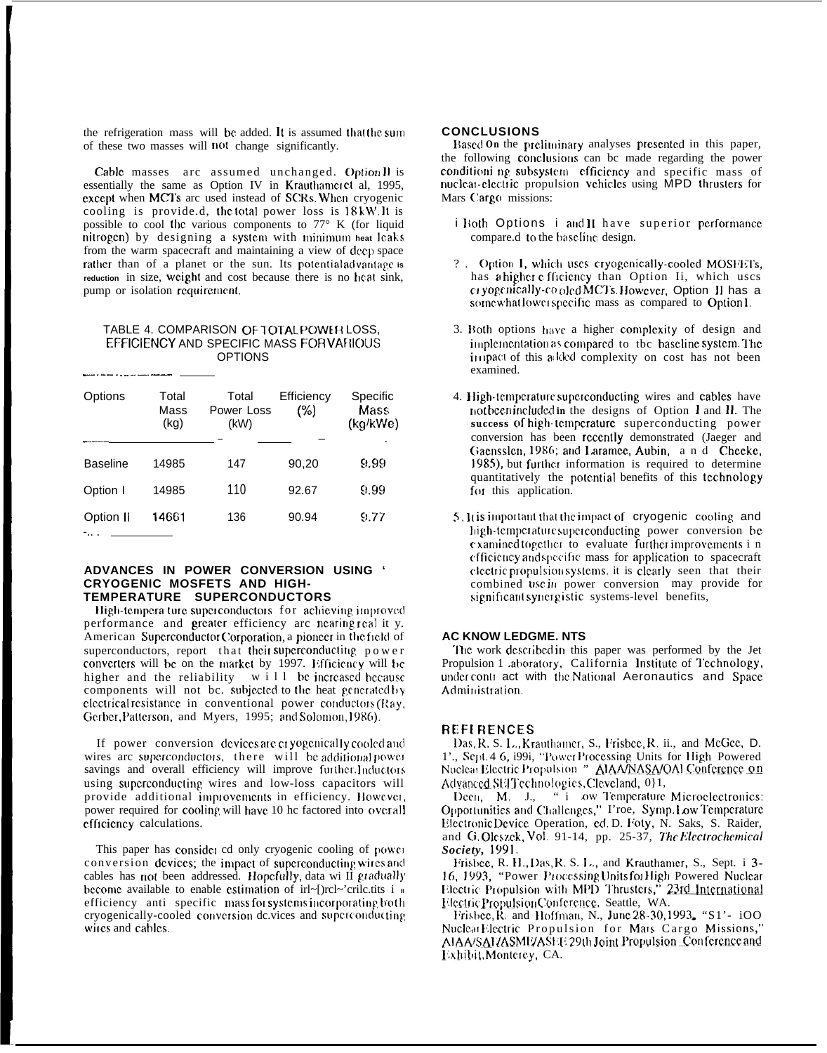the refrigeration mass will be added. It is assumed that the sum of these two masses will not change significantly.

Cable masses arc assumed unchanged. Option Il is essentially the same as Option IV in Krauthamcret al, 1995, except when MCTs arc used instead of SCRs. When cryogenic cooling is provide.d, the total power loss is 18 kW. It is possible to cool the various components to  $77^\circ$  K (for liquid nitrogen) by designing a system with minimum heat leaks from the warm spacecraft and maintaining a view of deep space rather than of a planet or the sun. Its potential advantage is reduction in size, weight and cost because there is no heat sink, pump or isolation requirement.

#### TABLE 4. COMPARISON OF TOTAL POWER LOSS EFFICIENCY AND SPECIFIC MASS FOR VARIOUS **OPTIONS**

| Options          | Total<br>Mass<br>(kg) | Total<br>Power Loss<br>(kW) | Efficiency<br>(%) | Specific<br>Mass<br>(kg/kWe)<br>٠ |
|------------------|-----------------------|-----------------------------|-------------------|-----------------------------------|
| <b>Baseline</b>  | 14985                 | 147                         | 90,20             | 9.99                              |
| Option I         | 14985                 | 110                         | 92.67             | 9.99                              |
| Option II<br>- . | 14661                 | 136                         | 90.94             | 9.77                              |

#### ADVANCES IN POWER CONVERSION USING ' **CRYOGENIC MOSFETS AND HIGH-**TEMPERATURE SUPERCONDUCTORS

High-tempera ture superconductors for achieving improved performance and greater efficiency arc nearing real it y. American Superconductor Corporation, a pioneer in the field of superconductors, report that their superconducting power converters will be on the market by 1997. Efficiency will be higher and the reliability  $w_i$  ill be increased because components will not bc. subjected to the heat generated by electrical resistance in conventional power conductors (Ray, Gerber, Patterson, and Myers, 1995; and Solomon, 1986).

If power conversion devices are cryogenically cooled and wires are superconductors, there will be additional power savings and overall efficiency will improve further.Inductors using superconducting wires and low-loss capacitors will provide additional improvements in efficiency. However, power required for cooling will have 10 hc factored into overall efficiency calculations.

This paper has consider cd only cryogenic cooling of power conversion devices; the impact of superconducting wires and cables has not been addressed. Hopefully, data wi II gradually become available to enable estimation of irl~[)rcl~'crilc.tits i = efficiency anti specific mass for systems incorporating both cryogenically-cooled conversion de.vices and superconducting wires and cables.

#### **CONCLUSIONS**

Based On the preliminary analyses presented in this paper, the following conclusions can be made regarding the power conditioni ng subsystem efficiency and specific mass of nuclear-electric propulsion vehicles using MPD thrusters for Mars Cargo missions:

- i Both Options i and II have superior performance compare.d to the baseline design.
- ? . Option I, which uses cryogenically-cooled MOSFETs, has a higher c fficiency than Option Ii, which uses cryogenically-coloid MCTs. However, Option II has a somewhat lower specific mass as compared to Option I.
- 3. Both options have a higher complexity of design and implementation as compared to the baseline system. The impact of this added complexity on cost has not been examined.
- 4. High-temperature superconducting wires and cables have not been included in the designs of Option I and II. The success of high-temperature superconducting power conversion has been recently demonstrated (Jaeger and Gaensslen, 1986; and Laramee, Aubin, and Cheeke, 1985), but further information is required to determine quantitatively the potential benefits of this technology for this application.
- 5. It is important that the impact of cryogenic cooling and high-temperature superconducting power conversion be examined together to evaluate further improvements i n efficiency and specific mass for application to spacecraft electric propulsion systems, it is clearly seen that their combined use in power conversion may provide for significant synergistic systems-level benefits,

#### **AC KNOW LEDGME. NTS**

The work described in this paper was performed by the Jet Propulsion 1 aboratory, California Institute of Technology, under contract with the National Aeronautics and Space Administration.

#### **REFERENCES**

Das, R. S. L., Krauthamer, S., Frisbee, R. ii., and McGee, D. 1'., Sept. 4 6, i99i, "PowerProcessing Units for High Powered Nuclear Electric Propulsion " AIAANASA/QAI Conference on Advanced SETTechnologies, Cleveland, 011,

Deen, M. J., "i ow Temperature Microelectronics: Opportunities and Challenges," I'roe, Symp. Low Temperature Electronic Device Operation, ed. D. Foty, N. Saks, S. Raider, and G. Oleszek, Vol. 91-14, pp. 25-37, The Electrochemical Society, 1991.

Frisbee, R. H., Das, R. S. L., and Krauthamer, S., Sept. i 3-16, 1993, "Power Processing Units for High Powered Nuclear Electric Propulsion with MPD Thrusters," 23rd International Electric Propulsion Conference, Seattle, WA.

Frisbee, R. and Hoffman, N., June 28-30, 1993. "S1'- iOO Nuclear Electric Propulsion for Mars Cargo Missions," ALAA/SAL/ASMI/ASE E 29th Joint Propulsion Conference and Exhibit, Monterey, CA.